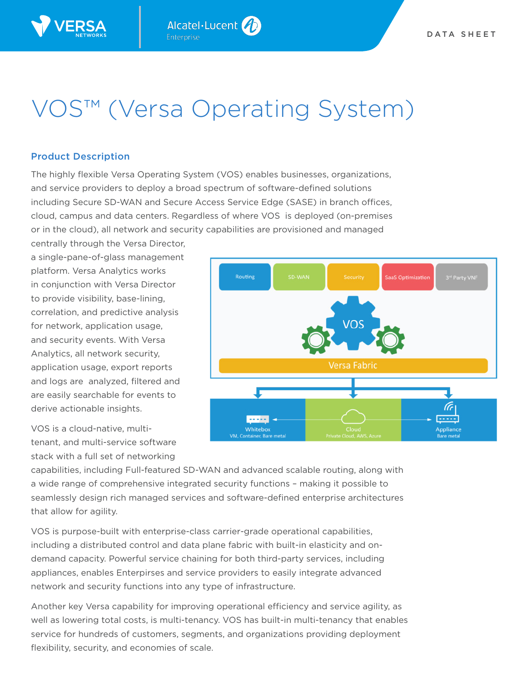# VOS™ (Versa Operating System)

Alcatel·Lucent 4

**Enterprise** 

#### Product Description

The highly flexible Versa Operating System (VOS) enables businesses, organizations, and service providers to deploy a broad spectrum of software-defined solutions including Secure SD-WAN and Secure Access Service Edge (SASE) in branch offices, cloud, campus and data centers. Regardless of where VOS is deployed (on-premises or in the cloud), all network and security capabilities are provisioned and managed

centrally through the Versa Director, a single-pane-of-glass management platform. Versa Analytics works in conjunction with Versa Director to provide visibility, base-lining, correlation, and predictive analysis for network, application usage, and security events. With Versa Analytics, all network security, application usage, export reports and logs are analyzed, filtered and are easily searchable for events to derive actionable insights.



VOS is a cloud-native, multitenant, and multi-service software stack with a full set of networking

capabilities, including Full-featured SD-WAN and advanced scalable routing, along with a wide range of comprehensive integrated security functions – making it possible to seamlessly design rich managed services and software-defined enterprise architectures that allow for agility.

VOS is purpose-built with enterprise-class carrier-grade operational capabilities, including a distributed control and data plane fabric with built-in elasticity and ondemand capacity. Powerful service chaining for both third-party services, including appliances, enables Enterpirses and service providers to easily integrate advanced network and security functions into any type of infrastructure.

Another key Versa capability for improving operational efficiency and service agility, as well as lowering total costs, is multi-tenancy. VOS has built-in multi-tenancy that enables service for hundreds of customers, segments, and organizations providing deployment flexibility, security, and economies of scale.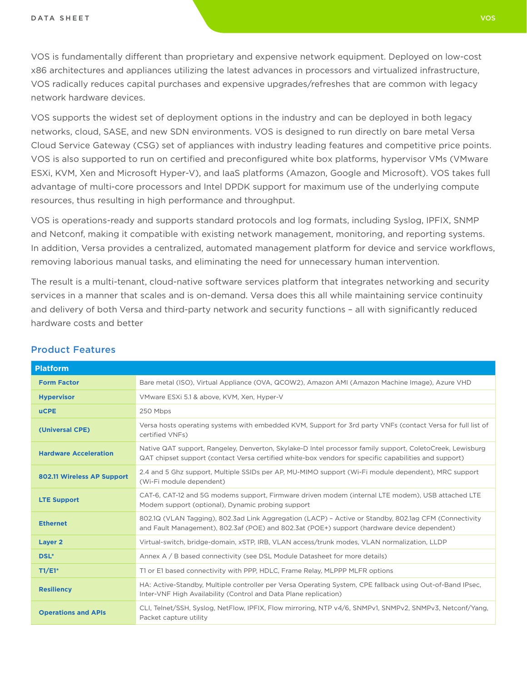VOS is fundamentally different than proprietary and expensive network equipment. Deployed on low-cost x86 architectures and appliances utilizing the latest advances in processors and virtualized infrastructure, VOS radically reduces capital purchases and expensive upgrades/refreshes that are common with legacy network hardware devices.

VOS supports the widest set of deployment options in the industry and can be deployed in both legacy networks, cloud, SASE, and new SDN environments. VOS is designed to run directly on bare metal Versa Cloud Service Gateway (CSG) set of appliances with industry leading features and competitive price points. VOS is also supported to run on certified and preconfigured white box platforms, hypervisor VMs (VMware ESXi, KVM, Xen and Microsoft Hyper-V), and IaaS platforms (Amazon, Google and Microsoft). VOS takes full advantage of multi-core processors and Intel DPDK support for maximum use of the underlying compute resources, thus resulting in high performance and throughput.

VOS is operations-ready and supports standard protocols and log formats, including Syslog, IPFIX, SNMP and Netconf, making it compatible with existing network management, monitoring, and reporting systems. In addition, Versa provides a centralized, automated management platform for device and service workflows, removing laborious manual tasks, and eliminating the need for unnecessary human intervention.

The result is a multi-tenant, cloud-native software services platform that integrates networking and security services in a manner that scales and is on-demand. Versa does this all while maintaining service continuity and delivery of both Versa and third-party network and security functions – all with significantly reduced hardware costs and better

| <b>Platform</b>              |                                                                                                                                                                                                                    |
|------------------------------|--------------------------------------------------------------------------------------------------------------------------------------------------------------------------------------------------------------------|
| <b>Form Factor</b>           | Bare metal (ISO), Virtual Appliance (OVA, QCOW2), Amazon AMI (Amazon Machine Image), Azure VHD                                                                                                                     |
| <b>Hypervisor</b>            | VMware ESXi 5.1 & above, KVM, Xen, Hyper-V                                                                                                                                                                         |
| <b>uCPE</b>                  | 250 Mbps                                                                                                                                                                                                           |
| (Universal CPE)              | Versa hosts operating systems with embedded KVM, Support for 3rd party VNFs (contact Versa for full list of<br>certified VNFs)                                                                                     |
| <b>Hardware Acceleration</b> | Native QAT support, Rangeley, Denverton, Skylake-D Intel processor family support, ColetoCreek, Lewisburg<br>QAT chipset support (contact Versa certified white-box vendors for specific capabilities and support) |
| 802.11 Wireless AP Support   | 2.4 and 5 Ghz support, Multiple SSIDs per AP, MU-MIMO support (Wi-Fi module dependent), MRC support<br>(Wi-Fi module dependent)                                                                                    |
| <b>LTE Support</b>           | CAT-6, CAT-12 and 5G modems support, Firmware driven modem (internal LTE modem), USB attached LTE<br>Modem support (optional), Dynamic probing support                                                             |
| <b>Ethernet</b>              | 802.1Q (VLAN Tagging), 802.3ad Link Aggregation (LACP) - Active or Standby, 802.1ag CFM (Connectivity<br>and Fault Management), 802.3af (POE) and 802.3at (POE+) support (hardware device dependent)               |
| <b>Layer 2</b>               | Virtual-switch, bridge-domain, xSTP, IRB, VLAN access/trunk modes, VLAN normalization, LLDP                                                                                                                        |
| DSL <sup>*</sup>             | Annex A / B based connectivity (see DSL Module Datasheet for more details)                                                                                                                                         |
| $T1/E1*$                     | T1 or E1 based connectivity with PPP, HDLC, Frame Relay, MLPPP MLFR options                                                                                                                                        |
| <b>Resiliency</b>            | HA: Active-Standby, Multiple controller per Versa Operating System, CPE fallback using Out-of-Band IPsec,<br>Inter-VNF High Availability (Control and Data Plane replication)                                      |
| <b>Operations and APIs</b>   | CLI, Telnet/SSH, Syslog, NetFlow, IPFIX, Flow mirroring, NTP v4/6, SNMPv1, SNMPv2, SNMPv3, Netconf/Yang,<br>Packet capture utility                                                                                 |

#### Product Features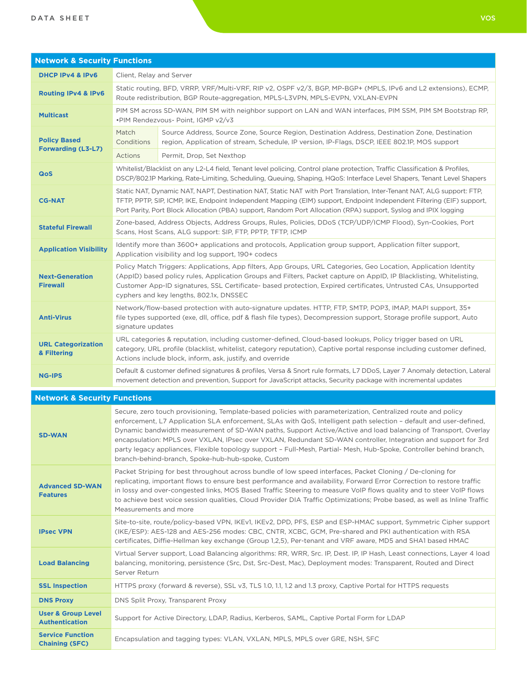| <b>Network &amp; Security Functions</b>                |                                                                                                                                                                                                                                                                                                                                                                                                                                                                                                                                                                                                                                                   |                                                                                                                                                                                                 |  |
|--------------------------------------------------------|---------------------------------------------------------------------------------------------------------------------------------------------------------------------------------------------------------------------------------------------------------------------------------------------------------------------------------------------------------------------------------------------------------------------------------------------------------------------------------------------------------------------------------------------------------------------------------------------------------------------------------------------------|-------------------------------------------------------------------------------------------------------------------------------------------------------------------------------------------------|--|
| <b>DHCP IPv4 &amp; IPv6</b>                            | Client, Relay and Server                                                                                                                                                                                                                                                                                                                                                                                                                                                                                                                                                                                                                          |                                                                                                                                                                                                 |  |
| <b>Routing IPv4 &amp; IPv6</b>                         | Static routing, BFD, VRRP, VRF/Multi-VRF, RIP v2, OSPF v2/3, BGP, MP-BGP+ (MPLS, IPv6 and L2 extensions), ECMP,<br>Route redistribution, BGP Route-aggregation, MPLS-L3VPN, MPLS-EVPN, VXLAN-EVPN                                                                                                                                                                                                                                                                                                                                                                                                                                                 |                                                                                                                                                                                                 |  |
| <b>Multicast</b>                                       | PIM SM across SD-WAN, PIM SM with neighbor support on LAN and WAN interfaces, PIM SSM, PIM SM Bootstrap RP,<br>•PIM Rendezvous- Point, IGMP v2/v3                                                                                                                                                                                                                                                                                                                                                                                                                                                                                                 |                                                                                                                                                                                                 |  |
| <b>Policy Based</b><br><b>Forwarding (L3-L7)</b>       | Match<br>Conditions                                                                                                                                                                                                                                                                                                                                                                                                                                                                                                                                                                                                                               | Source Address, Source Zone, Source Region, Destination Address, Destination Zone, Destination<br>region, Application of stream, Schedule, IP version, IP-Flags, DSCP, IEEE 802.1P, MOS support |  |
|                                                        | Actions                                                                                                                                                                                                                                                                                                                                                                                                                                                                                                                                                                                                                                           | Permit, Drop, Set Nexthop                                                                                                                                                                       |  |
| QoS                                                    | Whitelist/Blacklist on any L2-L4 field, Tenant level policing, Control plane protection, Traffic Classification & Profiles,<br>DSCP/802.1P Marking, Rate-Limiting, Scheduling, Queuing, Shaping, HQoS: Interface Level Shapers, Tenant Level Shapers                                                                                                                                                                                                                                                                                                                                                                                              |                                                                                                                                                                                                 |  |
| <b>CG-NAT</b>                                          | Static NAT, Dynamic NAT, NAPT, Destination NAT, Static NAT with Port Translation, Inter-Tenant NAT, ALG support: FTP,<br>TFTP, PPTP, SIP, ICMP, IKE, Endpoint Independent Mapping (EIM) support, Endpoint Independent Filtering (EIF) support,<br>Port Parity, Port Block Allocation (PBA) support, Random Port Allocation (RPA) support, Syslog and IPIX logging                                                                                                                                                                                                                                                                                 |                                                                                                                                                                                                 |  |
| <b>Stateful Firewall</b>                               | Zone-based, Address Objects, Address Groups, Rules, Policies, DDoS (TCP/UDP/ICMP Flood), Syn-Cookies, Port<br>Scans, Host Scans, ALG support: SIP, FTP, PPTP, TFTP, ICMP                                                                                                                                                                                                                                                                                                                                                                                                                                                                          |                                                                                                                                                                                                 |  |
| <b>Application Visibility</b>                          | Identify more than 3600+ applications and protocols, Application group support, Application filter support,<br>Application visibility and log support, 190+ codecs                                                                                                                                                                                                                                                                                                                                                                                                                                                                                |                                                                                                                                                                                                 |  |
| <b>Next-Generation</b><br><b>Firewall</b>              | Policy Match Triggers: Applications, App filters, App Groups, URL Categories, Geo Location, Application Identity<br>(AppID) based policy rules, Application Groups and Filters, Packet capture on AppID, IP Blacklisting, Whitelisting,<br>Customer App-ID signatures, SSL Certificate- based protection, Expired certificates, Untrusted CAs, Unsupported<br>cyphers and key lengths, 802.1x, DNSSEC                                                                                                                                                                                                                                             |                                                                                                                                                                                                 |  |
| <b>Anti-Virus</b>                                      | Network/flow-based protection with auto-signature updates. HTTP, FTP, SMTP, POP3, IMAP, MAPI support, 35+<br>file types supported (exe, dll, office, pdf & flash file types), Decompression support, Storage profile support, Auto<br>signature updates                                                                                                                                                                                                                                                                                                                                                                                           |                                                                                                                                                                                                 |  |
| <b>URL Categorization</b><br>& Filtering               | URL categories & reputation, including customer-defined, Cloud-based lookups, Policy trigger based on URL<br>category, URL profile (blacklist, whitelist, category reputation), Captive portal response including customer defined,<br>Actions include block, inform, ask, justify, and override                                                                                                                                                                                                                                                                                                                                                  |                                                                                                                                                                                                 |  |
| <b>NG-IPS</b>                                          | Default & customer defined signatures & profiles, Versa & Snort rule formats, L7 DDoS, Layer 7 Anomaly detection, Lateral<br>movement detection and prevention, Support for JavaScript attacks, Security package with incremental updates                                                                                                                                                                                                                                                                                                                                                                                                         |                                                                                                                                                                                                 |  |
| <b>Network &amp; Security Functions</b>                |                                                                                                                                                                                                                                                                                                                                                                                                                                                                                                                                                                                                                                                   |                                                                                                                                                                                                 |  |
| <b>SD-WAN</b>                                          | Secure, zero touch provisioning, Template-based policies with parameterization, Centralized route and policy<br>enforcement, L7 Application SLA enforcement, SLAs with QoS, Intelligent path selection - default and user-defined,<br>Dynamic bandwidth measurement of SD-WAN paths, Support Active/Active and load balancing of Transport, Overlay<br>encapsulation: MPLS over VXLAN, IPsec over VXLAN, Redundant SD-WAN controller, Integration and support for 3rd<br>party legacy appliances, Flexible topology support - Full-Mesh, Partial- Mesh, Hub-Spoke, Controller behind branch,<br>branch-behind-branch, Spoke-hub-hub-spoke, Custom |                                                                                                                                                                                                 |  |
| <b>Advanced SD-WAN</b><br><b>Features</b>              | Packet Striping for best throughout across bundle of low speed interfaces, Packet Cloning / De-cloning for<br>replicating, important flows to ensure best performance and availability, Forward Error Correction to restore traffic<br>in lossy and over-congested links, MOS Based Traffic Steering to measure VoIP flows quality and to steer VoIP flows<br>to achieve best voice session qualities, Cloud Provider DIA Traffic Optimizations; Probe based, as well as Inline Traffic<br>Measurements and more                                                                                                                                  |                                                                                                                                                                                                 |  |
| <b>IPsec VPN</b>                                       | Site-to-site, route/policy-based VPN, IKEv1, IKEv2, DPD, PFS, ESP and ESP-HMAC support, Symmetric Cipher support<br>(IKE/ESP): AES-128 and AES-256 modes: CBC, CNTR, XCBC, GCM, Pre-shared and PKI authentication with RSA<br>certificates, Diffie-Hellman key exchange (Group 1,2,5), Per-tenant and VRF aware, MD5 and SHA1 based HMAC                                                                                                                                                                                                                                                                                                          |                                                                                                                                                                                                 |  |
| <b>Load Balancing</b>                                  | Virtual Server support, Load Balancing algorithms: RR, WRR, Src. IP, Dest. IP, IP Hash, Least connections, Layer 4 load<br>balancing, monitoring, persistence (Src, Dst, Src-Dest, Mac), Deployment modes: Transparent, Routed and Direct<br>Server Return                                                                                                                                                                                                                                                                                                                                                                                        |                                                                                                                                                                                                 |  |
| <b>SSL Inspection</b>                                  | HTTPS proxy (forward & reverse), SSL v3, TLS 1.0, 1.1, 1.2 and 1.3 proxy, Captive Portal for HTTPS requests                                                                                                                                                                                                                                                                                                                                                                                                                                                                                                                                       |                                                                                                                                                                                                 |  |
| <b>DNS Proxy</b>                                       | DNS Split Proxy, Transparent Proxy                                                                                                                                                                                                                                                                                                                                                                                                                                                                                                                                                                                                                |                                                                                                                                                                                                 |  |
| <b>User &amp; Group Level</b><br><b>Authentication</b> | Support for Active Directory, LDAP, Radius, Kerberos, SAML, Captive Portal Form for LDAP                                                                                                                                                                                                                                                                                                                                                                                                                                                                                                                                                          |                                                                                                                                                                                                 |  |
| <b>Service Function</b><br><b>Chaining (SFC)</b>       | Encapsulation and tagging types: VLAN, VXLAN, MPLS, MPLS over GRE, NSH, SFC                                                                                                                                                                                                                                                                                                                                                                                                                                                                                                                                                                       |                                                                                                                                                                                                 |  |